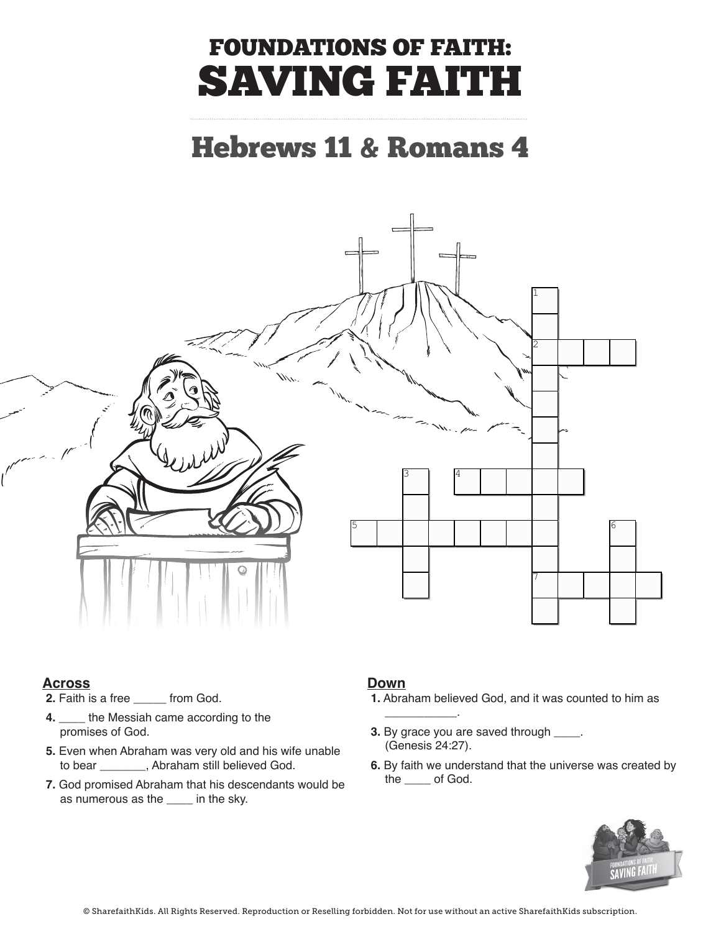# FOUNDATIONS OF FAITH: SAVING FAITH

### Hebrews 11 & Romans 4



#### **Across**

- **2.** Faith is a free \_\_\_\_\_ from God.
- **4.** \_\_\_\_ the Messiah came according to the **wave and his contract and his contract of the set of the set of the set of the set of the set of the set of the set of the set of the set of the set of the set of the set of the** promises of God.
- **5.** Even when Abraham was very old and his wife unable to bear \_\_\_\_\_\_\_, Abraham still believed God.
- 7. God promised Abraham that his descendants would be  $\frac{dP}{dr}$  and  $\frac{dP}{dr}$  of God. as numerous as the  $\rule{1em}{0.15mm}$  in the sky.

### **4.** \_\_\_\_ the Messiah came according to the **Down**

 $\overline{\phantom{a}}$ 

- **1.** Abraham believed God, and it was counted to him as
- **3.** By grace you are saved through \_\_\_\_. (Genesis 24:27).
- **7.** Still believed God. **6.** By faith we understand that the universe was created by the \_\_\_\_ of God.